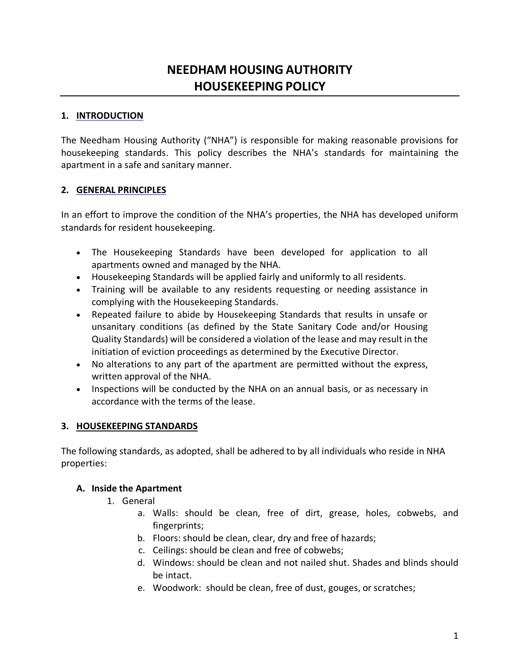# **NEEDHAM HOUSING AUTHORITY HOUSEKEEPING POLICY**

#### **1. INTRODUCTION**

The Needham Housing Authority ("NHA") is responsible for making reasonable provisions for housekeeping standards. This policy describes the NHA's standards for maintaining the apartment in a safe and sanitary manner.

#### **2. GENERAL PRINCIPLES**

In an effort to improve the condition of the NHA's properties, the NHA has developed uniform standards for resident housekeeping.

- The Housekeeping Standards have been developed for application to all apartments owned and managed by the NHA.
- Housekeeping Standards will be applied fairly and uniformly to all residents.
- Training will be available to any residents requesting or needing assistance in complying with the Housekeeping Standards.
- Repeated failure to abide by Housekeeping Standards that results in unsafe or unsanitary conditions (as defined by the State Sanitary Code and/or Housing Quality Standards) will be considered a violation of the lease and may result in the initiation of eviction proceedings as determined by the Executive Director.
- No alterations to any part of the apartment are permitted without the express, written approval of the NHA.
- Inspections will be conducted by the NHA on an annual basis, or as necessary in accordance with the terms of the lease.

## **3. HOUSEKEEPING STANDARDS**

The following standards, as adopted, shall be adhered to by all individuals who reside in NHA properties:

## **A. Inside the Apartment**

- 1. General
	- a. Walls: should be clean, free of dirt, grease, holes, cobwebs, and fingerprints;
	- b. Floors: should be clean, clear, dry and free of hazards;
	- c. Ceilings: should be clean and free of cobwebs;
	- d. Windows: should be clean and not nailed shut. Shades and blinds should be intact.
	- e. Woodwork: should be clean, free of dust, gouges, or scratches;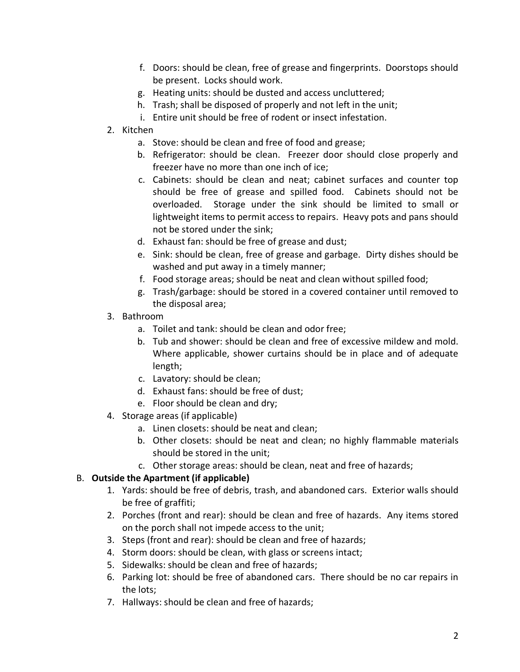- f. Doors: should be clean, free of grease and fingerprints. Doorstops should be present. Locks should work.
- g. Heating units: should be dusted and access uncluttered;
- h. Trash; shall be disposed of properly and not left in the unit;
- i. Entire unit should be free of rodent or insect infestation.
- 2. Kitchen
	- a. Stove: should be clean and free of food and grease;
	- b. Refrigerator: should be clean. Freezer door should close properly and freezer have no more than one inch of ice;
	- c. Cabinets: should be clean and neat; cabinet surfaces and counter top should be free of grease and spilled food. Cabinets should not be overloaded. Storage under the sink should be limited to small or lightweight items to permit access to repairs. Heavy pots and pans should not be stored under the sink;
	- d. Exhaust fan: should be free of grease and dust;
	- e. Sink: should be clean, free of grease and garbage. Dirty dishes should be washed and put away in a timely manner;
	- f. Food storage areas; should be neat and clean without spilled food;
	- g. Trash/garbage: should be stored in a covered container until removed to the disposal area;
- 3. Bathroom
	- a. Toilet and tank: should be clean and odor free;
	- b. Tub and shower: should be clean and free of excessive mildew and mold. Where applicable, shower curtains should be in place and of adequate length;
	- c. Lavatory: should be clean;
	- d. Exhaust fans: should be free of dust;
	- e. Floor should be clean and dry;
- 4. Storage areas (if applicable)
	- a. Linen closets: should be neat and clean;
	- b. Other closets: should be neat and clean; no highly flammable materials should be stored in the unit;
	- c. Other storage areas: should be clean, neat and free of hazards;

# B. **Outside the Apartment (if applicable)**

- 1. Yards: should be free of debris, trash, and abandoned cars. Exterior walls should be free of graffiti;
- 2. Porches (front and rear): should be clean and free of hazards. Any items stored on the porch shall not impede access to the unit;
- 3. Steps (front and rear): should be clean and free of hazards;
- 4. Storm doors: should be clean, with glass or screens intact;
- 5. Sidewalks: should be clean and free of hazards;
- 6. Parking lot: should be free of abandoned cars. There should be no car repairs in the lots;
- 7. Hallways: should be clean and free of hazards;